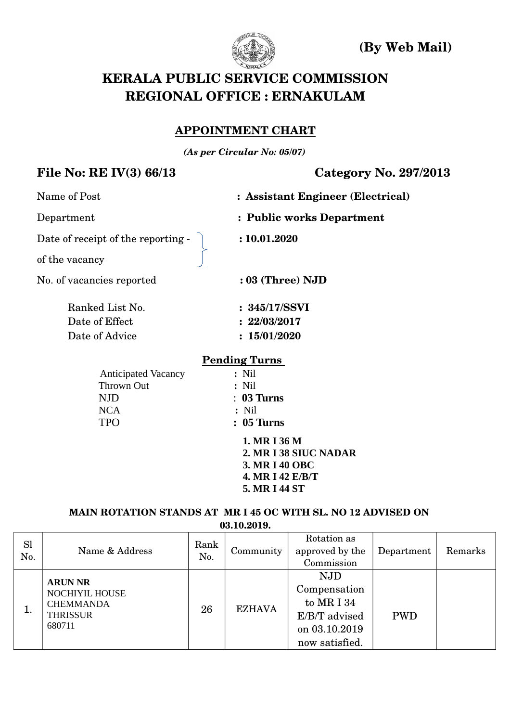

 **(By Web Mail)**

# **KERALA PUBLIC SERVICE COMMISSION REGIONAL OFFICE : ERNAKULAM**

#### **APPOINTMENT CHART**

*(As per Circular No: 05/07)*

## **File No: RE IV(3) 66/13 Category No. 297/2013**

| Name of Post                       | : Assistant Engineer (Electrical) |
|------------------------------------|-----------------------------------|
| Department                         | : Public works Department         |
| Date of receipt of the reporting - | : 10.01.2020                      |
| of the vacancy                     |                                   |
| No. of vacancies reported          | $: 03$ (Three) NJD                |
| Ranked List No.                    | : 345/17/SSVI                     |
| Date of Effect                     | : 22/03/2017                      |
| Date of Advice                     | : 15/01/2020                      |
|                                    | <b>Pending Turns</b>              |
| <b>Anticipated Vacancy</b>         | $:$ Nil                           |
| Thrown Out                         | $:$ Nil                           |
| <b>NJD</b>                         | $: 03$ Turns                      |
| <b>NCA</b>                         | $:$ Nil                           |
| <b>TPO</b>                         | $: 05$ Turns                      |
|                                    | 1. MR I 36 M                      |
|                                    | 2. MR I 38 SIUC NADAR             |
|                                    | <b>3. MR I 40 OBC</b>             |
|                                    | 4. MR I 42 E/B/T                  |

**MAIN ROTATION STANDS AT MR I 45 OC WITH SL. NO 12 ADVISED ON**

 **5. MR I 44 ST**

**03.10.2019.**

| <b>Sl</b><br>No. | Name & Address                                                                           | Rank<br>No. | Community     | Rotation as<br>approved by the<br>Commission                                                 | Department | Remarks |
|------------------|------------------------------------------------------------------------------------------|-------------|---------------|----------------------------------------------------------------------------------------------|------------|---------|
| ī.               | <b>ARUN NR</b><br><b>NOCHIYIL HOUSE</b><br><b>CHEMMANDA</b><br><b>THRISSUR</b><br>680711 | 26          | <b>EZHAVA</b> | <b>NJD</b><br>Compensation<br>to MR I 34<br>E/B/T advised<br>on 03.10.2019<br>now satisfied. | <b>PWD</b> |         |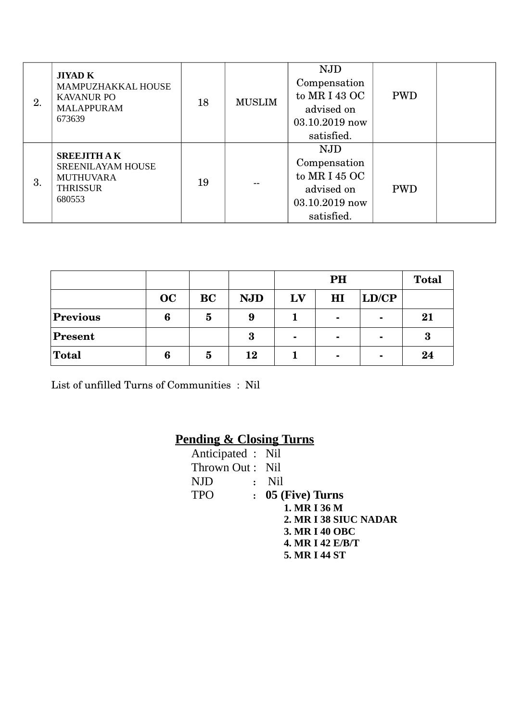| 2. | <b>JIYAD K</b><br>MAMPUZHAKKAL HOUSE<br><b>KAVANUR PO</b><br><b>MALAPPURAM</b><br>673639        | 18 | <b>MUSLIM</b> | <b>NJD</b><br>Compensation<br>to MR I 43 OC<br>advised on<br>03.10.2019 now<br>satisfied. | <b>PWD</b> |  |
|----|-------------------------------------------------------------------------------------------------|----|---------------|-------------------------------------------------------------------------------------------|------------|--|
| 3. | <b>SREEJITH AK</b><br><b>SREENILAYAM HOUSE</b><br><b>MUTHUVARA</b><br><b>THRISSUR</b><br>680553 | 19 |               | <b>NJD</b><br>Compensation<br>to MR I 45 OC<br>advised on<br>03.10.2019 now<br>satisfied. | <b>PWD</b> |  |

|                 |    |           |            |                | PH             |                |          |  |  |
|-----------------|----|-----------|------------|----------------|----------------|----------------|----------|--|--|
|                 | OC | <b>BC</b> | <b>NJD</b> | LV             | H1             | LD/CP          |          |  |  |
| <b>Previous</b> | 6  | 5         | 9          |                | $\blacksquare$ | $\blacksquare$ | 21       |  |  |
| <b>Present</b>  |    |           | 3          | $\blacksquare$ | $\blacksquare$ | $\blacksquare$ | $\bf{3}$ |  |  |
| <b>Total</b>    | 6  | 5         | 12         |                | $\blacksquare$ | $\blacksquare$ | 24       |  |  |

List of unfilled Turns of Communities : Nil

## **Pending & Closing Turns**

| Anticipated : Nil |                       |
|-------------------|-----------------------|
| Thrown Out: Nil   |                       |
| NJD.              | : Nil                 |
| <b>TPO</b>        | : 05 (Five) Turns     |
|                   | 1. MR I 36 M          |
|                   | 2. MR I 38 SIUC NADAR |
|                   | 3. MR I 40 OBC        |
|                   | 4. MR I 42 E/B/T      |
|                   | 5. MR I 44 ST         |
|                   |                       |